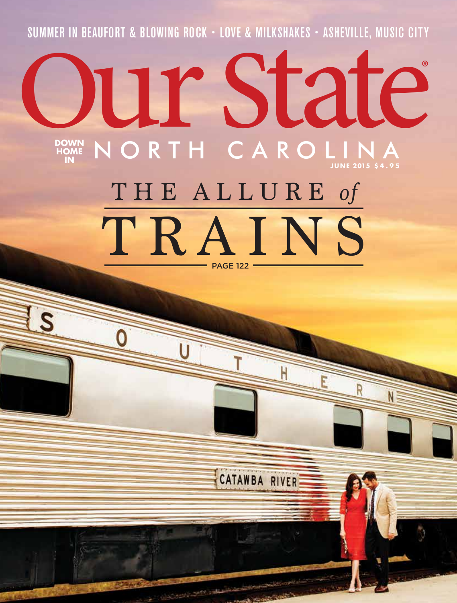SUMMER IN BEAUFORT & BLOWING ROCK • LOVE & MILKSHAKES • ASHEVILLE, MUSIC CITY

## **DOWN HOME IN NORTH CAROLINA** ® SUMMER IN BEAUFURI & BLUWING RUCK - LUVE & MILKSHAKES - ASHEVILLE, MUSIC CITY<br>
CONTROLLER CAROLINA

# THE ALLURE *of* TRAINS PAGE 122

CATAWBA RIVER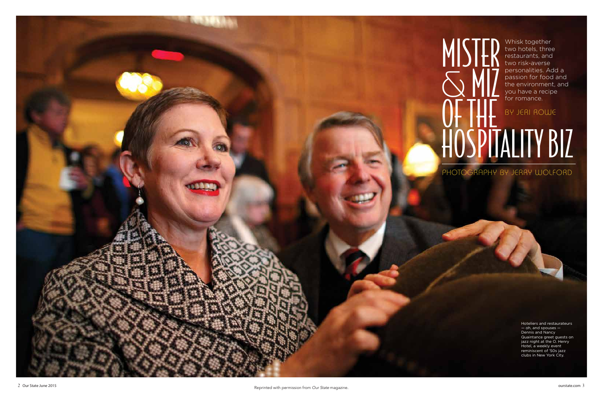### MISTER  $\sum_{\alpha} \frac{M}{M}$ OF THE Hospitality Biz Whisk together two hotels, three restaurants, and two risk-averse personalities. Add a passion for food and the environment, and you have a recipe for romance. By Jeri Rowe PHOTOGRAPHY BY JERRY WOLFOrD



Hoteliers and restaurateurs — oh, and spouses — Dennis and Nancy Quaintance greet guests on jazz night at the O. Henry Hotel, a weekly event reminiscent of '50s jazz clubs in New York City.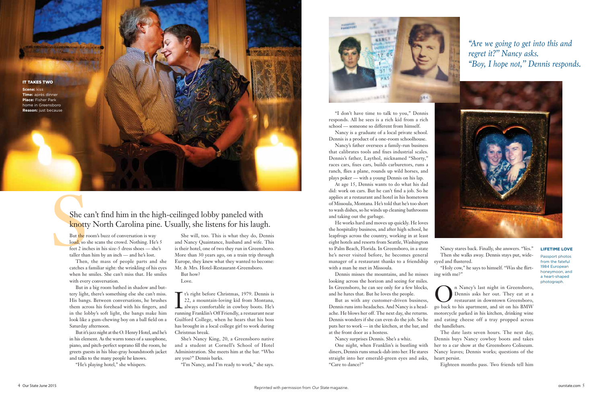

**IT TAKES TWO** 

She can't find him in the hi<br>
knotty North Carolina pin<br>
But the room's buzz of conversation is way<br>
loud, so she scans the crowd. Nothing. He's<br>
feet 2 inches in his size-5 dress shoes — she<br>
taller than him by an inch loud, so she scans the crowd. Nothing. He's 5 feet 2 inches in his size-5 dress shoes — she's taller than him by an inch — and he's lost.

Then, the mass of people parts and she catches a familiar sight: the wrinkling of his eyes when he smiles. She can't miss that. He smiles with every conversation.

But in a big room bathed in shadow and buttery light, there's something else she can't miss. His bangs. Between conversations, he brushes them across his forehead with his fingers, and in the lobby's soft light, the bangs make him look like a gum-chewing boy on a ball field on a Saturday afternoon.

But it's jazz night at the O. Henry Hotel, and he's in his element. As the warm tones of a saxophone, piano, and pitch-perfect soprano fill the room, he greets guests in his blue-gray houndstooth jacket and talks to the many people he knows.

"He's playing hotel," she whispers.

It's right before Christmas, 1979. Dennis is<br>22, a mountain-loving kid from Montana,<br>always comfortable in cowboy boots. He's t's right before Christmas, 1979. Dennis is 22, a mountain-loving kid from Montana, running Franklin's Off Friendly, a restaurant near Guilford College, when he hears that his boss has brought in a local college girl to work during Christmas break.

**Scene:** kiss **Time:** après dinner **Place:** Fisher Park home in Greensboro **Reason:** just because

> She will, too. This is what they do, Dennis and Nancy Quaintance, husband and wife. This is their hotel, one of two they run in Greensboro. More than 30 years ago, on a train trip through Europe, they knew what they wanted to become: Mr. & Mrs. Hotel-Restaurant-Greensboro.

But how? Love.

She's Nancy King, 20, a Greensboro native and a student at Cornell's School of Hotel Administration. She meets him at the bar. "Who are you?'' Dennis barks.

"I'm Nancy, and I'm ready to work," she says.



### She can't find him in the high-ceilinged lobby paneled with knotty North Carolina pine. Usually, she listens for his laugh.

"I don't have time to talk to you,'' Dennis responds. All he sees is a rich kid from a rich school — someone so different from himself.

> **O**n Nancy's last night in Greensboro,<br>Dennis asks her out. They eat at a<br>restaurant in downtown Greensboro, Dennis asks her out. They eat at a restaurant in downtown Greensboro, go back to his apartment, and sit on his BMW motorcycle parked in his kitchen, drinking wine and eating cheese off a tray propped across the handlebars.

Nancy is a graduate of a local private school. Dennis is a product of a one-room schoolhouse.

Nancy's father oversees a family-run business that calibrates tools and fixes industrial scales. Dennis's father, Laythol, nicknamed "Shorty," races cars, fixes cars, builds carburetors, runs a ranch, flies a plane, rounds up wild horses, and plays poker — with a young Dennis on his lap.

At age 15, Dennis wants to do what his dad did: work on cars. But he can't find a job. So he applies at a restaurant and hotel in his hometown of Missoula, Montana. He's told that he's too short to wash dishes, so he winds up cleaning bathrooms and taking out the garbage.

He works hard and moves up quickly. He loves the hospitality business, and after high school, he leapfrogs across the country, working in at least eight hotels and resorts from Seattle, Washington to Palm Beach, Florida. In Greensboro, in a state he's never visited before, he becomes general manager of a restaurant thanks to a friendship with a man he met in Missoula.

Dennis misses the mountains, and he misses looking across the horizon and seeing for miles. In Greensboro, he can see only for a few blocks, and he hates that. But he loves the people.

But as with any customer-driven business, Dennis runs into headaches. And Nancy is a headache. He blows her off. The next day, she returns. Dennis wonders if she can even do the job. So he puts her to work — in the kitchen, at the bar, and at the front door as a hostess.

Nancy surprises Dennis. She's a whiz.

One night, when Franklin's is bustling with diners, Dennis runs smack-dab into her. He stares straight into her emerald-green eyes and asks, "Care to dance?''

Nancy stares back. Finally, she answers. "Yes.'' Then she walks away. Dennis stays put, wideeyed and flustered. "Holy cow,'' he says to himself. "Was she flirting with me?''

The date lasts seven hours. The next day, Dennis buys Nancy cowboy boots and takes her to a car show at the Greensboro Coliseum. Nancy leaves; Dennis works; questions of the

heart persist.

Eighteen months pass. Two friends tell him

#### **Lifetime Love**

Passport photos from the fateful 1984 European honeymoon, and a heart-shaped photograph.

*"Are we going to get into this and regret it?'' Nancy asks. "Boy, I hope not,'' Dennis responds.*